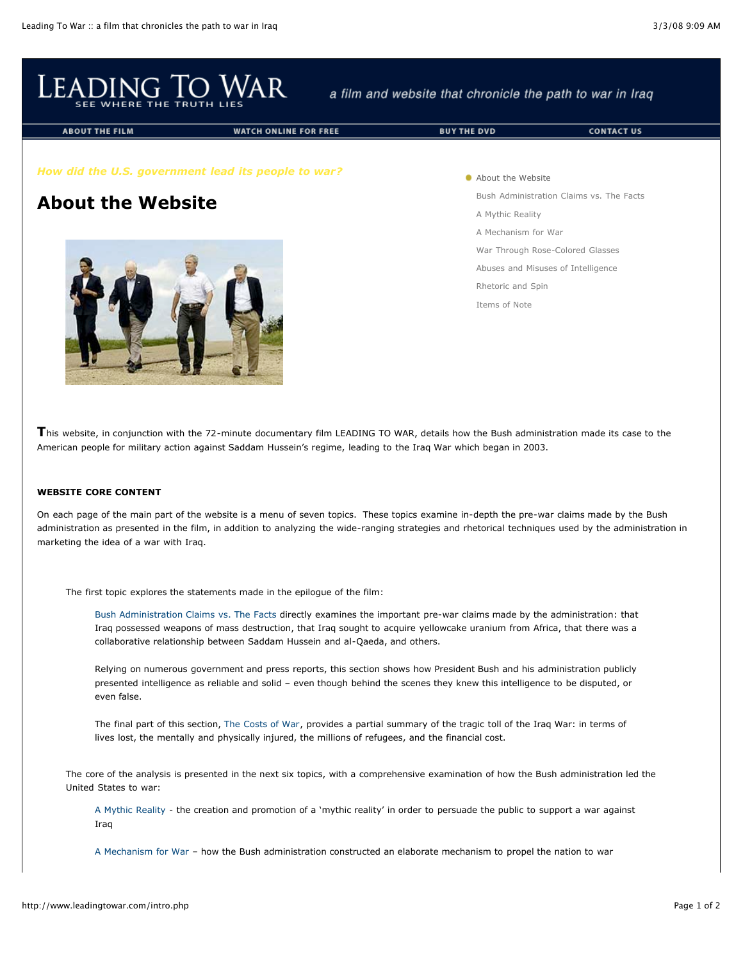

a film and website that chronicle the path to war in Iraq

**BUY THE DVD** 

**ABOUT THE FILM** 

**WATCH ONLINE FOR FREE** 

**CONTACT US** 

# *How did the U.S. government lead its people to war?*

# **About the Website**



**About the Website** Bush [Administration](http://www.leadingtowar.com/claims_facts.php) Claims vs. The Facts A Mythic [Reality](http://www.leadingtowar.com/mythic_reality.php) A [Mechanism](http://www.leadingtowar.com/mechanism_war.php) for War War Through [Rose-Colored](http://www.leadingtowar.com/war_rosecolored.php) Glasses Abuses and Misuses of [Intelligence](http://www.leadingtowar.com/abuses_misuses.php) [Rhetoric](http://www.leadingtowar.com/rhetoric_spin.php) and Spin [Items](http://www.leadingtowar.com/items_note.php) of Note

**T**his website, in conjunction with the 72-minute documentary film LEADING TO WAR, details how the Bush administration made its case to the American people for military action against Saddam Hussein's regime, leading to the Iraq War which began in 2003.

#### **WEBSITE CORE CONTENT**

On each page of the main part of the website is a menu of seven topics. These topics examine in-depth the pre-war claims made by the Bush administration as presented in the film, in addition to analyzing the wide-ranging strategies and rhetorical techniques used by the administration in marketing the idea of a war with Iraq.

The first topic explores the statements made in the epilogue of the film:

Bush [Administration](http://www.leadingtowar.com/claims_facts.php) Claims vs. The Facts directly examines the important pre-war claims made by the administration: that Iraq possessed weapons of mass destruction, that Iraq sought to acquire yellowcake uranium from Africa, that there was a collaborative relationship between Saddam Hussein and al-Qaeda, and others.

Relying on numerous government and press reports, this section shows how President Bush and his administration publicly presented intelligence as reliable and solid – even though behind the scenes they knew this intelligence to be disputed, or even false.

The final part of this section, The [Costs](http://www.leadingtowar.com/claims_facts_costsofwar.php) of War, provides a partial summary of the tragic toll of the Iraq War: in terms of lives lost, the mentally and physically injured, the millions of refugees, and the financial cost.

The core of the analysis is presented in the next six topics, with a comprehensive examination of how the Bush administration led the United States to war:

A Mythic [Reality](http://www.leadingtowar.com/mythic_reality.php) - the creation and promotion of a 'mythic reality' in order to persuade the public to support a war against Iraq

A [Mechanism](http://www.leadingtowar.com/mechanism_war.php) for War – how the Bush administration constructed an elaborate mechanism to propel the nation to war